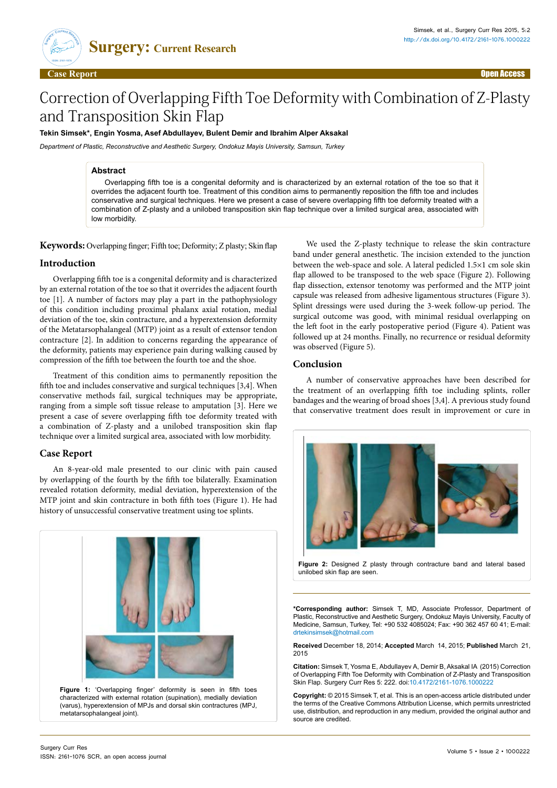

# Correction of Overlapping Fifth Toe Deformity with Combination of Z-Plasty and Transposition Skin Flap

## **Tekin Simsek\*, Engin Yosma, Asef Abdullayev, Bulent Demir and Ibrahim Alper Aksakal**

*Department of Plastic, Reconstructive and Aesthetic Surgery, Ondokuz Mayis University, Samsun, Turkey*

#### **Abstract**

Overlapping fifth toe is a congenital deformity and is characterized by an external rotation of the toe so that it overrides the adjacent fourth toe. Treatment of this condition aims to permanently reposition the fifth toe and includes conservative and surgical techniques. Here we present a case of severe overlapping fifth toe deformity treated with a combination of Z-plasty and a unilobed transposition skin flap technique over a limited surgical area, associated with low morbidity.

**Keywords:** Overlapping finger; Fifth toe; Deformity; Z plasty; Skin flap

## **Introduction**

Overlapping fifth toe is a congenital deformity and is characterized by an external rotation of the toe so that it overrides the adjacent fourth toe [1]. A number of factors may play a part in the pathophysiology of this condition including proximal phalanx axial rotation, medial deviation of the toe, skin contracture, and a hyperextension deformity of the Metatarsophalangeal (MTP) joint as a result of extensor tendon contracture [2]. In addition to concerns regarding the appearance of the deformity, patients may experience pain during walking caused by compression of the fifth toe between the fourth toe and the shoe.

Treatment of this condition aims to permanently reposition the fifth toe and includes conservative and surgical techniques [3,4]. When conservative methods fail, surgical techniques may be appropriate, ranging from a simple soft tissue release to amputation [3]. Here we present a case of severe overlapping fifth toe deformity treated with a combination of Z-plasty and a unilobed transposition skin flap technique over a limited surgical area, associated with low morbidity.

#### **Case Report**

An 8-year-old male presented to our clinic with pain caused by overlapping of the fourth by the fifth toe bilaterally. Examination revealed rotation deformity, medial deviation, hyperextension of the MTP joint and skin contracture in both fifth toes (Figure 1). He had history of unsuccessful conservative treatment using toe splints.



We used the Z-plasty technique to release the skin contracture band under general anesthetic. The incision extended to the junction between the web-space and sole. A lateral pedicled 1.5×1 cm sole skin flap allowed to be transposed to the web space (Figure 2). Following flap dissection, extensor tenotomy was performed and the MTP joint capsule was released from adhesive ligamentous structures (Figure 3). Splint dressings were used during the 3-week follow-up period. The surgical outcome was good, with minimal residual overlapping on the left foot in the early postoperative period (Figure 4). Patient was followed up at 24 months. Finally, no recurrence or residual deformity was observed (Figure 5).

### **Conclusion**

A number of conservative approaches have been described for the treatment of an overlapping fifth toe including splints, roller bandages and the wearing of broad shoes [3,4]. A previous study found that conservative treatment does result in improvement or cure in



**Figure 2:** Designed Z plasty through contracture band and lateral based unilobed skin flap are seen.

**\*Corresponding author:** Simsek T, MD, Associate Professor, Department of Plastic, Reconstructive and Aesthetic Surgery, Ondokuz Mayis University, Faculty of Medicine, Samsun, Turkey, Tel: +90 532 4085024; Fax: +90 362 457 60 41; E-mail: drtekinsimsek@hotmail.com

**Received** December 18, 2014; **Accepted** March 14, 2015; **Published** March 21, 2015

**Citation:** Simsek T, Yosma E, Abdullayev A, Demir B, Aksakal IA (2015) Correction of Overlapping Fifth Toe Deformity with Combination of Z-Plasty and Transposition Skin Flap. Surgery Curr Res 5: 222. doi:[10.4172/2161-1076.1000222](10.4172/2161-1076.1000223
)

**Copyright:** © 2015 Simsek T, et al. This is an open-access article distributed under the terms of the Creative Commons Attribution License, which permits unrestricted use, distribution, and reproduction in any medium, provided the original author and source are credited.